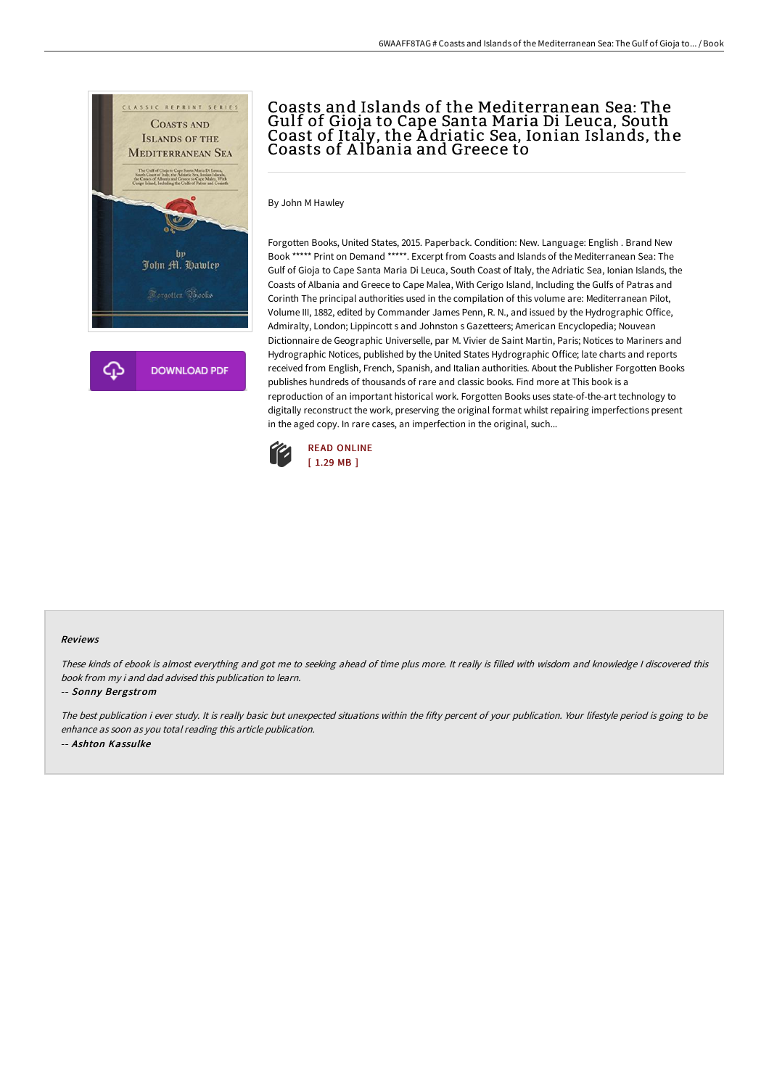

# Coasts and Islands of the Mediterranean Sea: The Gulf of Gioja to Cape Santa Maria Di Leuca, South Coast of Italy, the A driatic Sea, Ionian Islands, the Coasts of Albania and Greece to

By John M Hawley

Forgotten Books, United States, 2015. Paperback. Condition: New. Language: English . Brand New Book \*\*\*\*\* Print on Demand \*\*\*\*\*. Excerpt from Coasts and Islands of the Mediterranean Sea: The Gulf of Gioja to Cape Santa Maria Di Leuca, South Coast of Italy, the Adriatic Sea, Ionian Islands, the Coasts of Albania and Greece to Cape Malea, With Cerigo Island, Including the Gulfs of Patras and Corinth The principal authorities used in the compilation of this volume are: Mediterranean Pilot, Volume III, 1882, edited by Commander James Penn, R. N., and issued by the Hydrographic Office, Admiralty, London; Lippincott s and Johnston s Gazetteers; American Encyclopedia; Nouvean Dictionnaire de Geographic Universelle, par M. Vivier de Saint Martin, Paris; Notices to Mariners and Hydrographic Notices, published by the United States Hydrographic Office; late charts and reports received from English, French, Spanish, and Italian authorities. About the Publisher Forgotten Books publishes hundreds of thousands of rare and classic books. Find more at This book is a reproduction of an important historical work. Forgotten Books uses state-of-the-art technology to digitally reconstruct the work, preserving the original format whilst repairing imperfections present in the aged copy. In rare cases, an imperfection in the original, such...



### Reviews

These kinds of ebook is almost everything and got me to seeking ahead of time plus more. It really is filled with wisdom and knowledge <sup>I</sup> discovered this book from my i and dad advised this publication to learn.

#### -- Sonny Bergstrom

The best publication i ever study. It is really basic but unexpected situations within the fifty percent of your publication. Your lifestyle period is going to be enhance as soon as you total reading this article publication. -- Ashton Kassulke